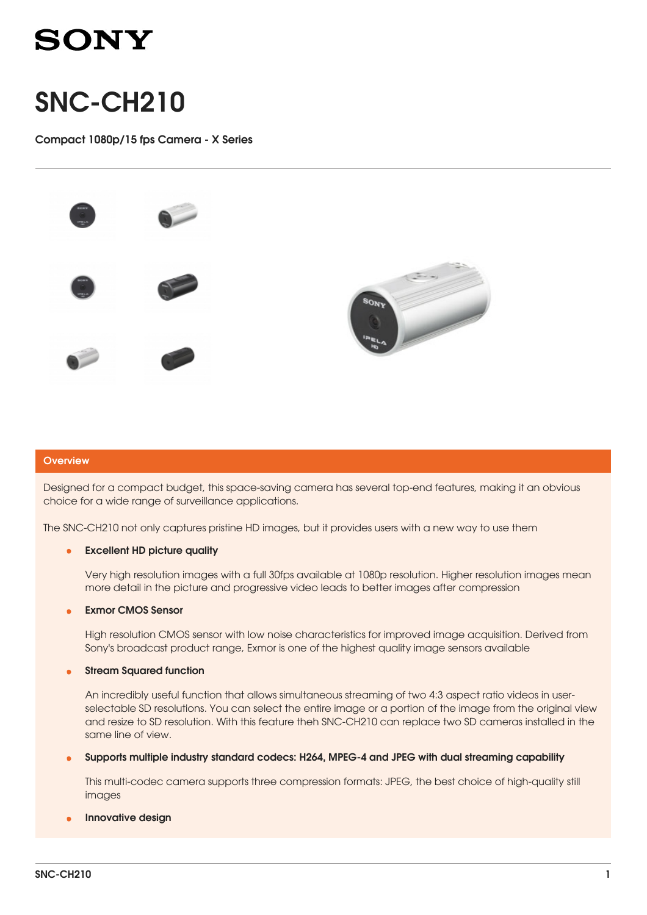

# SNC-CH210

Compact 1080p/15 fps Camera - X Series



### **Overview**

Designed for a compact budget, this space-saving camera has several top-end features, making it an obvious choice for a wide range of surveillance applications.

The SNC-CH210 not only captures pristine HD images, but it provides users with a new way to use them

#### Excellent HD picture quality •

Very high resolution images with a full 30fps available at 1080p resolution. Higher resolution images mean more detail in the picture and progressive video leads to better images after compression

### Exmor CMOS Sensor •

High resolution CMOS sensor with low noise characteristics for improved image acquisition. Derived from Sony's broadcast product range, Exmor is one of the highest quality image sensors available

### Stream Squared function •

An incredibly useful function that allows simultaneous streaming of two 4:3 aspect ratio videos in userselectable SD resolutions. You can select the entire image or a portion of the image from the original view and resize to SD resolution. With this feature theh SNC-CH210 can replace two SD cameras installed in the same line of view.

Supports multiple industry standard codecs: H264, MPEG-4 and JPEG with dual streaming capability •

This multi-codec camera supports three compression formats: JPEG, the best choice of high-quality still images

## Innovative design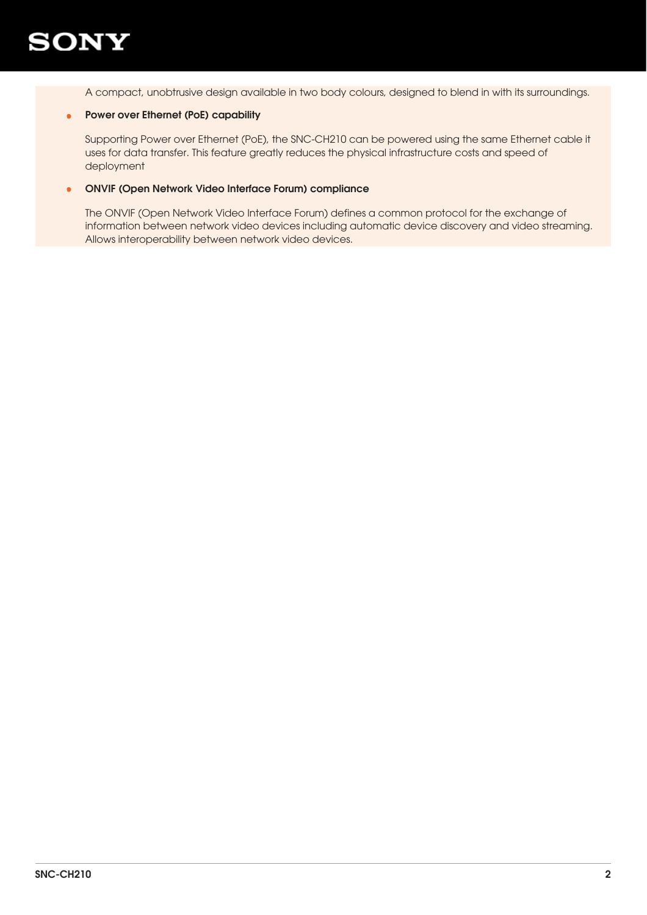

A compact, unobtrusive design available in two body colours, designed to blend in with its surroundings.

# • Power over Ethernet (PoE) capability

Supporting Power over Ethernet (PoE), the SNC-CH210 can be powered using the same Ethernet cable it uses for data transfer. This feature greatly reduces the physical infrastructure costs and speed of deployment

#### ONVIF (Open Network Video Interface Forum) compliance •

The ONVIF (Open Network Video Interface Forum) defines a common protocol for the exchange of information between network video devices including automatic device discovery and video streaming. Allows interoperability between network video devices.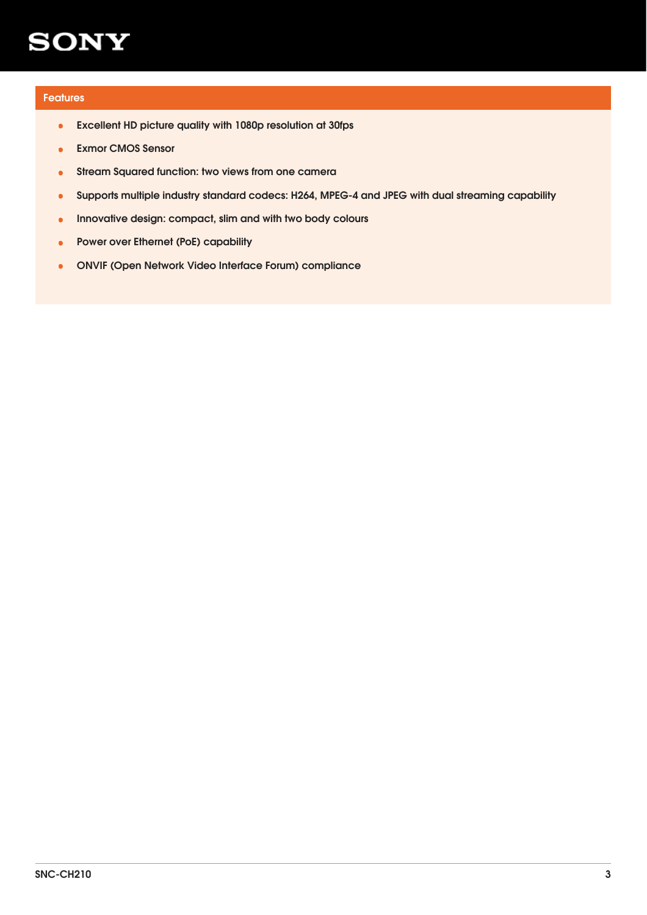# Features

- Excellent HD picture quality with 1080p resolution at 30fps
- **Exmor CMOS Sensor**
- Stream Squared function: two views from one camera
- Supports multiple industry standard codecs: H264, MPEG-4 and JPEG with dual streaming capability
- Innovative design: compact, slim and with two body colours
- Power over Ethernet (PoE) capability
- ONVIF (Open Network Video Interface Forum) compliance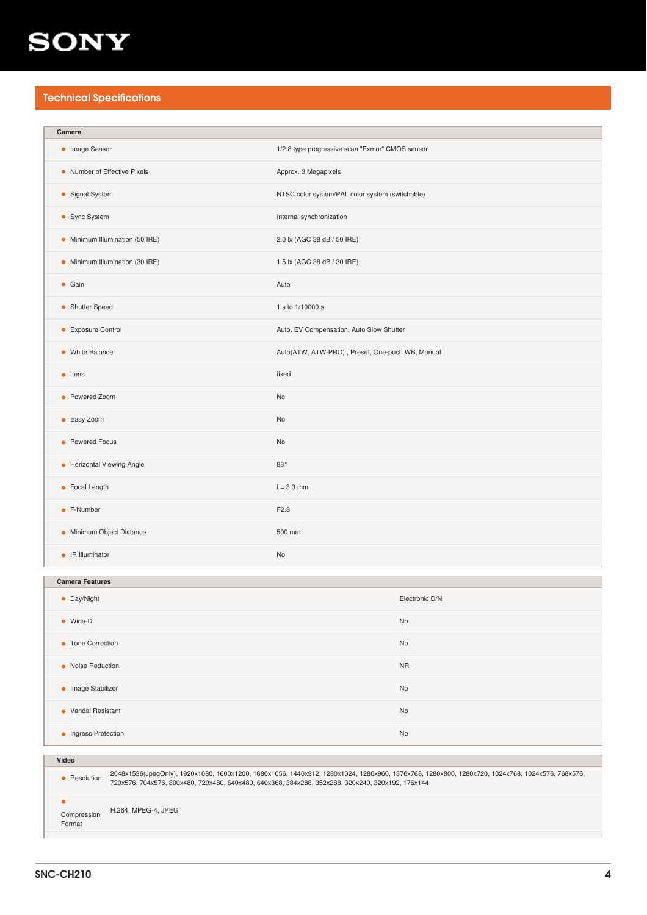# Technical Specifications

| Camera                                                                                                                                                          |                                                 |                |
|-----------------------------------------------------------------------------------------------------------------------------------------------------------------|-------------------------------------------------|----------------|
| • Image Sensor                                                                                                                                                  | 1/2.8 type progressive scan "Exmor" CMOS sensor |                |
| • Number of Effective Pixels                                                                                                                                    | Approx. 3 Megapixels                            |                |
| • Signal System                                                                                                                                                 | NTSC color system/PAL color system (switchable) |                |
| • Sync System                                                                                                                                                   | Internal synchronization                        |                |
| • Minimum Illumination (50 IRE)                                                                                                                                 | 2.0 lx (AGC 38 dB / 50 IRE)                     |                |
| • Minimum Illumination (30 IRE)                                                                                                                                 | 1.5 lx (AGC 38 dB / 30 IRE)                     |                |
| $\bullet$ Gain                                                                                                                                                  | Auto                                            |                |
| • Shutter Speed                                                                                                                                                 | 1 s to 1/10000 s                                |                |
| • Exposure Control                                                                                                                                              | Auto, EV Compensation, Auto Slow Shutter        |                |
| • White Balance                                                                                                                                                 | Auto(ATW, ATW-PRO), Preset, One-push WB, Manual |                |
| $\bullet$ Lens                                                                                                                                                  | fixed                                           |                |
| • Powered Zoom                                                                                                                                                  | No                                              |                |
| • Easy Zoom                                                                                                                                                     | No                                              |                |
| • Powered Focus                                                                                                                                                 | No                                              |                |
| • Horizontal Viewing Angle                                                                                                                                      | $88^{\,\circ}$                                  |                |
| • Focal Length                                                                                                                                                  | $f = 3.3$ mm                                    |                |
| • F-Number                                                                                                                                                      | F2.8                                            |                |
| • Minimum Object Distance                                                                                                                                       | 500 mm                                          |                |
| • IR Illuminator                                                                                                                                                | No                                              |                |
| <b>Camera Features</b>                                                                                                                                          |                                                 |                |
|                                                                                                                                                                 |                                                 | Electronic D/N |
| • Day/Night                                                                                                                                                     |                                                 |                |
| • Wide-D                                                                                                                                                        |                                                 | No             |
| • Tone Correction                                                                                                                                               |                                                 | No             |
| • Noise Reduction                                                                                                                                               |                                                 | <b>NR</b>      |
| • Image Stabilizer                                                                                                                                              |                                                 | No             |
| • Vandal Resistant                                                                                                                                              |                                                 | No             |
| • Ingress Protection<br>No                                                                                                                                      |                                                 |                |
| Video                                                                                                                                                           |                                                 |                |
| 2048x1536(JpegOnly), 1920x1080, 1600x1200, 1680x1056, 1440x912, 1280x1024, 1280x960, 1376x768, 1280x800, 1280x720, 1024x768, 1024x576, 768x576,<br>• Resolution |                                                 |                |
| 720x576, 704x576, 800x480, 720x480, 640x480, 640x368, 384x288, 352x288, 320x240, 320x192, 176x144                                                               |                                                 |                |
| $\bullet$<br>H.264, MPEG-4, JPEG<br>Compression<br>Format                                                                                                       |                                                 |                |

SNC-CH210 4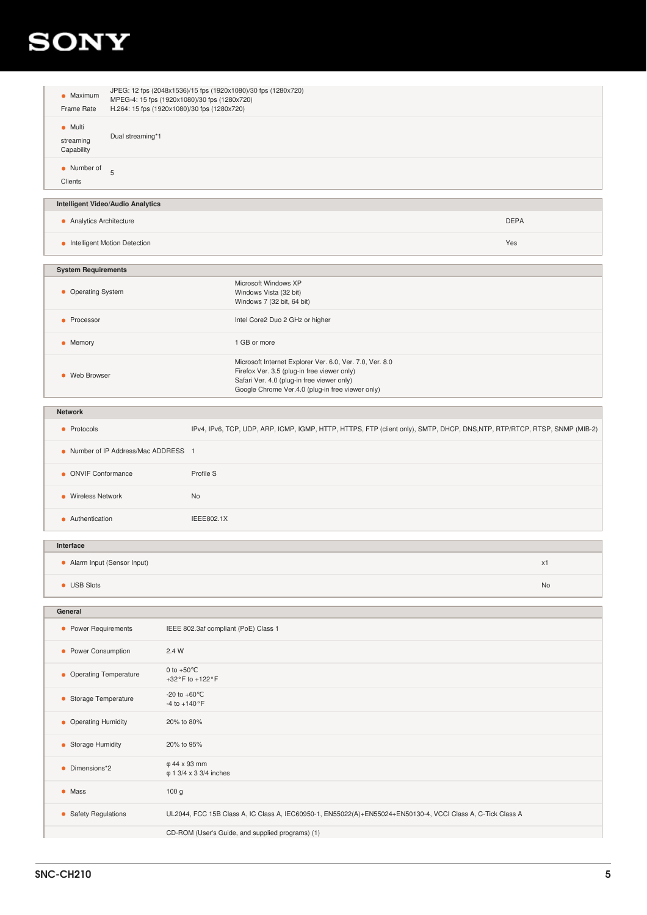| $\bullet$ Maximum<br>Frame Rate            | JPEG: 12 fps (2048x1536)/15 fps (1920x1080)/30 fps (1280x720)<br>MPEG-4: 15 fps (1920x1080)/30 fps (1280x720)<br>H.264: 15 fps (1920x1080)/30 fps (1280x720) |  |
|--------------------------------------------|--------------------------------------------------------------------------------------------------------------------------------------------------------------|--|
| $\bullet$ Multi<br>streaming<br>Capability | Dual streaming*1                                                                                                                                             |  |
| • Number of<br>Clients                     | 5                                                                                                                                                            |  |
| <b>Intelligent Video/Audio Analytics</b>   |                                                                                                                                                              |  |

# • Analytics Architecture DEPA

**•** Intelligent Motion Detection Yes

| <b>System Requirements</b> |                                                                                                                                                                                                           |
|----------------------------|-----------------------------------------------------------------------------------------------------------------------------------------------------------------------------------------------------------|
| • Operating System         | Microsoft Windows XP<br>Windows Vista (32 bit)<br>Windows 7 (32 bit, 64 bit)                                                                                                                              |
| • Processor                | Intel Core2 Duo 2 GHz or higher                                                                                                                                                                           |
| $\bullet$ Memory           | 1 GB or more                                                                                                                                                                                              |
| • Web Browser              | Microsoft Internet Explorer Ver. 6.0, Ver. 7.0, Ver. 8.0<br>Firefox Ver. 3.5 (plug-in free viewer only)<br>Safari Ver. 4.0 (plug-in free viewer only)<br>Google Chrome Ver.4.0 (plug-in free viewer only) |

| <b>Network</b>                       |                                                                                                                          |
|--------------------------------------|--------------------------------------------------------------------------------------------------------------------------|
| • Protocols                          | IPv4, IPv6, TCP, UDP, ARP, ICMP, IGMP, HTTP, HTTPS, FTP (client only), SMTP, DHCP, DNS,NTP, RTP/RTCP, RTSP, SNMP (MIB-2) |
| • Number of IP Address/Mac ADDRESS 1 |                                                                                                                          |
| • ONVIF Conformance                  | Profile S                                                                                                                |
| • Wireless Network                   | <b>No</b>                                                                                                                |
| • Authentication                     | IEEE802.1X                                                                                                               |
|                                      |                                                                                                                          |

| Interface                    |    |
|------------------------------|----|
| • Alarm Input (Sensor Input) | x1 |
| • USB Slots                  | No |

| General                 |                                                                                                             |
|-------------------------|-------------------------------------------------------------------------------------------------------------|
| • Power Requirements    | IEEE 802.3af compliant (PoE) Class 1                                                                        |
| • Power Consumption     | 2.4 W                                                                                                       |
| • Operating Temperature | 0 to $+50^{\circ}$ C<br>+32°F to +122°F                                                                     |
| • Storage Temperature   | $-20$ to $+60^{\circ}$ C<br>$-4$ to $+140$ °F                                                               |
| • Operating Humidity    | 20% to 80%                                                                                                  |
| • Storage Humidity      | 20% to 95%                                                                                                  |
| Dimensions*2<br>٠       | φ 44 x 93 mm<br>$\varphi$ 1 3/4 x 3 3/4 inches                                                              |
| $\bullet$ Mass          | 100 <sub>g</sub>                                                                                            |
| • Safety Regulations    | UL2044, FCC 15B Class A, IC Class A, IEC60950-1, EN55022(A)+EN55024+EN50130-4, VCCI Class A, C-Tick Class A |
|                         | CD-ROM (User's Guide, and supplied programs) (1)                                                            |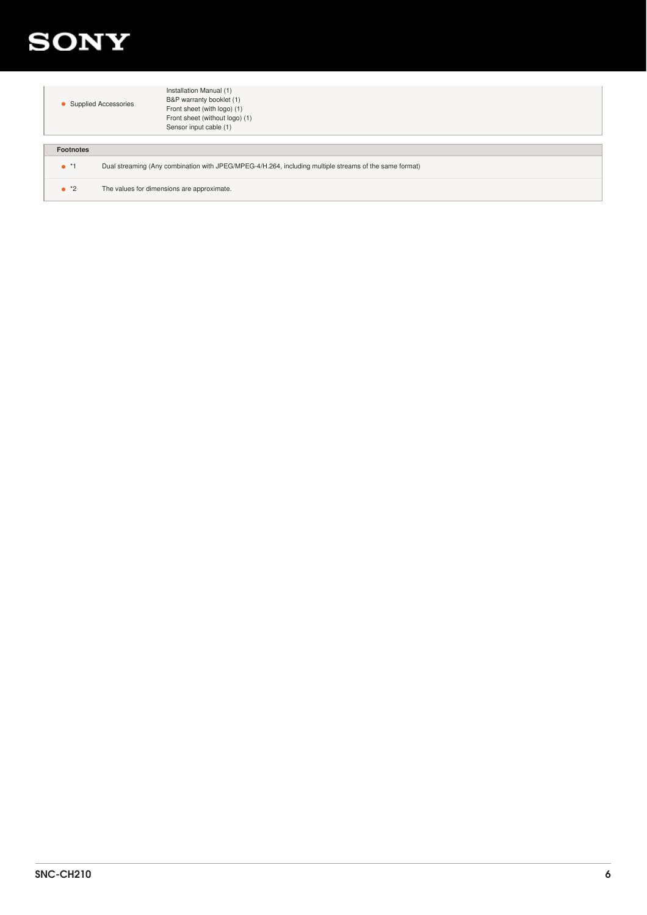

|                  | <b>Supplied Accessories</b>                | Installation Manual (1)<br>B&P warranty booklet (1)<br>Front sheet (with logo) (1)<br>Front sheet (without logo) (1)<br>Sensor input cable (1) |
|------------------|--------------------------------------------|------------------------------------------------------------------------------------------------------------------------------------------------|
|                  |                                            |                                                                                                                                                |
| <b>Footnotes</b> |                                            |                                                                                                                                                |
| $^{\bullet}$ *1  |                                            | Dual streaming (Any combination with JPEG/MPEG-4/H.264, including multiple streams of the same format)                                         |
| $^*2$            | The values for dimensions are approximate. |                                                                                                                                                |
|                  |                                            |                                                                                                                                                |